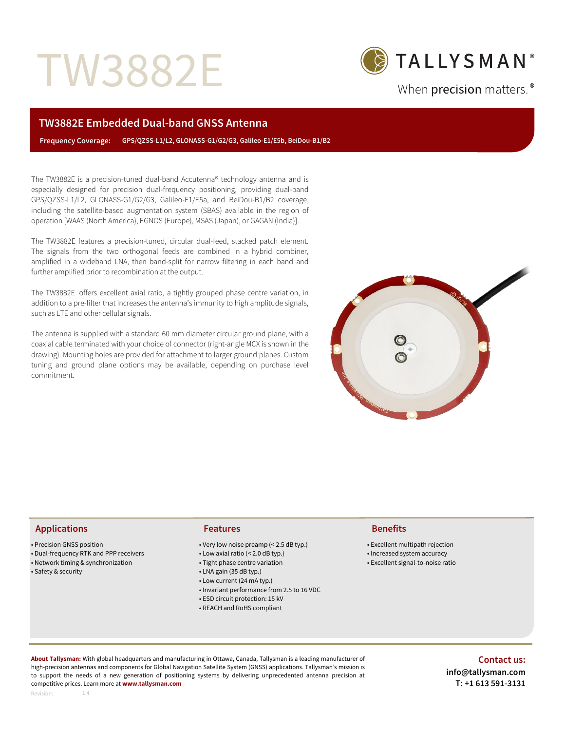# TW3882E



When precision matters.<sup>®</sup>

# **TW3882E Embedded Dual-band GNSS Antenna**

 **Frequency Coverage: GPS/QZSS-L1/L2, GLONASS-G1/G2/G3, Galileo-E1/E5b, BeiDou-B1/B2**

The TW3882E is a precision-tuned dual-band Accutenna® technology antenna and is especially designed for precision dual-frequency positioning, providing dual-band GPS/QZSS-L1/L2, GLONASS-G1/G2/G3, Galileo-E1/E5a, and BeiDou-B1/B2 coverage, including the satellite-based augmentation system (SBAS) available in the region of operation [WAAS (North America), EGNOS (Europe), MSAS (Japan), or GAGAN (India)].

The TW3882E features a precision-tuned, circular dual-feed, stacked patch element. The signals from the two orthogonal feeds are combined in a hybrid combiner, amplified in a wideband LNA, then band-split for narrow filtering in each band and further amplified prior to recombination at the output.

The TW3882E offers excellent axial ratio, a tightly grouped phase centre variation, in addition to a pre-filter that increases the antenna's immunity to high amplitude signals, such as LTE and other cellular signals.

The antenna is supplied with a standard 60 mm diameter circular ground plane, with a coaxial cable terminated with your choice of connector (right-angle MCX is shown in the drawing). Mounting holes are provided for attachment to larger ground planes. Custom tuning and ground plane options may be available, depending on purchase level commitment.



# **Applications Features Benefits**

- Precision GNSS position
- Dual-frequency RTK and PPP receivers

1.4

- Network timing & synchronization
- Safety & security

- Very low noise preamp (< 2.5 dB typ.)
- Low axial ratio (< 2.0 dB typ.)
- Tight phase centre variation
- LNA gain (35 dB typ.)
- Low current (24 mA typ.)
- Invariant performance from 2.5 to 16 VDC
- ESD circuit protection: 15 kV
- REACH and RoHS compliant

- Excellent multipath rejection
- Increased system accuracy
- Excellent signal-to-noise ratio

**About Tallysman:** With global headquarters and manufacturing in Ottawa, Canada, Tallysman is a leading manufacturer of high-precision antennas and components for Global Navigation Satellite System (GNSS) applications. Tallysman's mission is to support the needs of a new generation of positioning systems by delivering unprecedented antenna precision at competitive prices. Learn more at **www.tallysman.com**

# **Contact us: info@tallysman.com T: +1 613 591-3131**